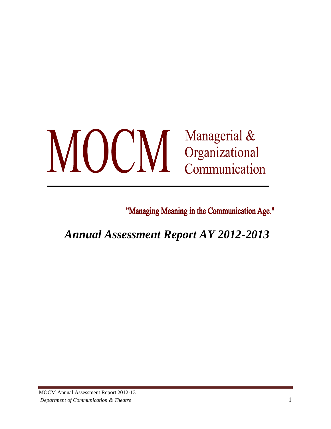# MOCM Managerial &<br>Communicational<br>Communication

"Managing Meaning in the Communication Age."

*Annual Assessment Report AY 2012-2013*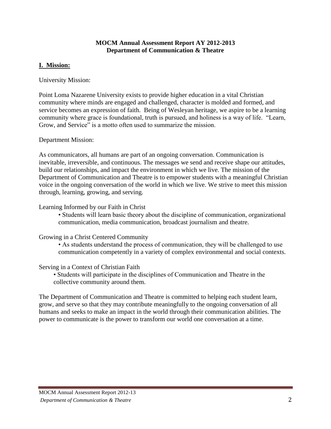#### **MOCM Annual Assessment Report AY 2012-2013 Department of Communication & Theatre**

# **I. Mission:**

University Mission:

Point Loma Nazarene University exists to provide higher education in a vital Christian community where minds are engaged and challenged, character is molded and formed, and service becomes an expression of faith. Being of Wesleyan heritage, we aspire to be a learning community where grace is foundational, truth is pursued, and holiness is a way of life. "Learn, Grow, and Service" is a motto often used to summarize the mission.

Department Mission:

As communicators, all humans are part of an ongoing conversation. Communication is inevitable, irreversible, and continuous. The messages we send and receive shape our attitudes, build our relationships, and impact the environment in which we live. The mission of the Department of Communication and Theatre is to empower students with a meaningful Christian voice in the ongoing conversation of the world in which we live. We strive to meet this mission through, learning, growing, and serving.

#### Learning Informed by our Faith in Christ

• Students will learn basic theory about the discipline of communication, organizational communication, media communication, broadcast journalism and theatre.

# Growing in a Christ Centered Community

• As students understand the process of communication, they will be challenged to use communication competently in a variety of complex environmental and social contexts.

# Serving in a Context of Christian Faith

• Students will participate in the disciplines of Communication and Theatre in the collective community around them.

The Department of Communication and Theatre is committed to helping each student learn, grow, and serve so that they may contribute meaningfully to the ongoing conversation of all humans and seeks to make an impact in the world through their communication abilities. The power to communicate is the power to transform our world one conversation at a time.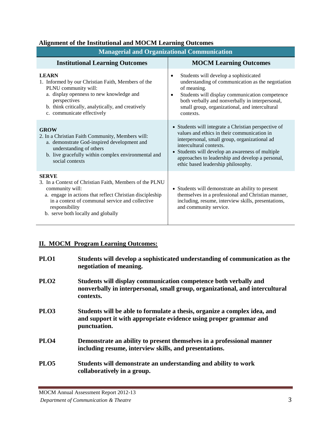|  | <b>Alignment of the Institutional and MOCM Learning Outcomes</b> |  |
|--|------------------------------------------------------------------|--|
|  |                                                                  |  |

| <b>Managerial and Organizational Communication</b>                                                                                                                                                                                                                |                                                                                                                                                                                                                                                                                                                               |  |  |  |
|-------------------------------------------------------------------------------------------------------------------------------------------------------------------------------------------------------------------------------------------------------------------|-------------------------------------------------------------------------------------------------------------------------------------------------------------------------------------------------------------------------------------------------------------------------------------------------------------------------------|--|--|--|
| <b>Institutional Learning Outcomes</b>                                                                                                                                                                                                                            | <b>MOCM Learning Outcomes</b>                                                                                                                                                                                                                                                                                                 |  |  |  |
| <b>LEARN</b><br>1. Informed by our Christian Faith, Members of the<br>PLNU community will:<br>a. display openness to new knowledge and<br>perspectives<br>b. think critically, analytically, and creatively<br>c. communicate effectively                         | Students will develop a sophisticated<br>$\bullet$<br>understanding of communication as the negotiation<br>of meaning.<br>Students will display communication competence<br>٠<br>both verbally and nonverbally in interpersonal,<br>small group, organizational, and intercultural<br>contexts.                               |  |  |  |
| <b>GROW</b><br>2. In a Christian Faith Community, Members will:<br>a. demonstrate God-inspired development and<br>understanding of others<br>b. live gracefully within complex environmental and<br>social contexts                                               | • Students will integrate a Christian perspective of<br>values and ethics in their communication in<br>interpersonal, small group, organizational ad<br>intercultural contexts.<br>• Students will develop an awareness of multiple<br>approaches to leadership and develop a personal,<br>ethic based leadership philosophy. |  |  |  |
| <b>SERVE</b><br>3. In a Context of Christian Faith, Members of the PLNU<br>community will:<br>a. engage in actions that reflect Christian discipleship<br>in a context of communal service and collective<br>responsibility<br>b. serve both locally and globally | • Students will demonstrate an ability to present<br>themselves in a professional and Christian manner,<br>including, resume, interview skills, presentations,<br>and community service.                                                                                                                                      |  |  |  |

# **II. MOCM Program Learning Outcomes:**

| PLO1             | Students will develop a sophisticated understanding of communication as the<br>negotiation of meaning.                                                         |
|------------------|----------------------------------------------------------------------------------------------------------------------------------------------------------------|
| PLO <sub>2</sub> | Students will display communication competence both verbally and<br>nonverbally in interpersonal, small group, organizational, and intercultural<br>contexts.  |
| PLO <sub>3</sub> | Students will be able to formulate a thesis, organize a complex idea, and<br>and support it with appropriate evidence using proper grammar and<br>punctuation. |
| PLO <sub>4</sub> | Demonstrate an ability to present themselves in a professional manner<br>including resume, interview skills, and presentations.                                |
| PLO <sub>5</sub> | Students will demonstrate an understanding and ability to work<br>collaboratively in a group.                                                                  |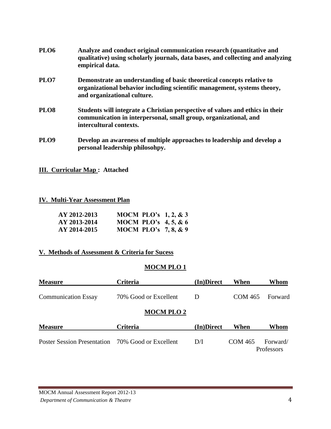| PLO <sub>6</sub> | Analyze and conduct original communication research (quantitative and<br>qualitative) using scholarly journals, data bases, and collecting and analyzing<br>empirical data.       |
|------------------|-----------------------------------------------------------------------------------------------------------------------------------------------------------------------------------|
| PLO <sub>7</sub> | Demonstrate an understanding of basic theoretical concepts relative to<br>organizational behavior including scientific management, systems theory,<br>and organizational culture. |
| PLO <sub>8</sub> | Students will integrate a Christian perspective of values and ethics in their<br>communication in interpersonal, small group, organizational, and<br>intercultural contexts.      |
| PLO <sub>9</sub> | Develop an awareness of multiple approaches to leadership and develop a<br>personal leadership philosohpy.                                                                        |

**III. Curricular Map : Attached**

#### **IV. Multi-Year Assessment Plan**

| AY 2012-2013 | <b>MOCM PLO's 1, 2, &amp; 3</b> |  |
|--------------|---------------------------------|--|
| AY 2013-2014 | <b>MOCM PLO's 4, 5, &amp; 6</b> |  |
| AY 2014-2015 | <b>MOCM PLO's 7, 8, &amp; 9</b> |  |

# **V. Methods of Assessment & Criteria for Sucess**

# **MOCM PLO 1**

| <b>Measure</b>                                    | <b>Criteria</b>       | (In)Direct | When           | <b>Whom</b>            |
|---------------------------------------------------|-----------------------|------------|----------------|------------------------|
| <b>Communication Essay</b>                        | 70% Good or Excellent | D          | <b>COM 465</b> | Forward                |
|                                                   | <b>MOCM PLO 2</b>     |            |                |                        |
| <b>Measure</b>                                    | <b>Criteria</b>       | (In)Direct | When           | Whom                   |
| Poster Session Presentation 70% Good or Excellent |                       | D/I        | COM 465        | Forward/<br>Professors |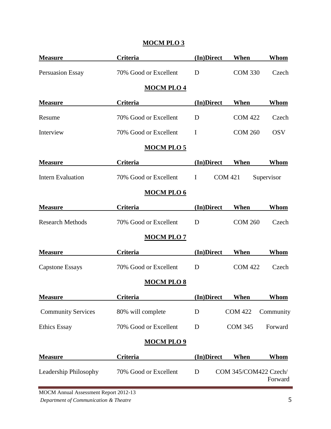| <b>Measure</b>            | Criteria              | (In)Direct  | When                  | Whom        |
|---------------------------|-----------------------|-------------|-----------------------|-------------|
| <b>Persuasion Essay</b>   | 70% Good or Excellent | D           | <b>COM 330</b>        | Czech       |
|                           | <b>MOCM PLO 4</b>     |             |                       |             |
| <b>Measure</b>            | <b>Criteria</b>       | (In)Direct  | When                  | <b>Whom</b> |
| Resume                    | 70% Good or Excellent | D           | <b>COM 422</b>        | Czech       |
| Interview                 | 70% Good or Excellent | $\mathbf I$ | <b>COM 260</b>        | <b>OSV</b>  |
|                           | <b>MOCM PLO 5</b>     |             |                       |             |
| <b>Measure</b>            | Criteria              | (In)Direct  | When                  | Whom        |
| <b>Intern Evaluation</b>  | 70% Good or Excellent | $\mathbf I$ | <b>COM 421</b>        | Supervisor  |
|                           | <b>MOCM PLO 6</b>     |             |                       |             |
| <b>Measure</b>            | Criteria              | (In)Direct  | When                  | Whom        |
| <b>Research Methods</b>   | 70% Good or Excellent | D           | <b>COM 260</b>        | Czech       |
|                           | <b>MOCM PLO 7</b>     |             |                       |             |
| <b>Measure</b>            | <b>Criteria</b>       | (In)Direct  | When                  | Whom        |
| <b>Capstone Essays</b>    | 70% Good or Excellent | D           | <b>COM 422</b>        | Czech       |
|                           | <b>MOCM PLO 8</b>     |             |                       |             |
| <b>Measure</b>            | <b>Criteria</b>       | (In)Direct  | <u>When</u>           | <u>Whom</u> |
| <b>Community Services</b> | 80% will complete     | D           | <b>COM 422</b>        | Community   |
| <b>Ethics Essay</b>       | 70% Good or Excellent | D           | <b>COM 345</b>        | Forward     |
|                           | <b>MOCM PLO 9</b>     |             |                       |             |
| <b>Measure</b>            | Criteria              | (In)Direct  | When                  | <b>Whom</b> |
| Leadership Philosophy     | 70% Good or Excellent | D           | COM 345/COM422 Czech/ | Forward     |

# **MOCM PLO 3**

MOCM Annual Assessment Report 2012-13 *Department of Communication & Theatre* 5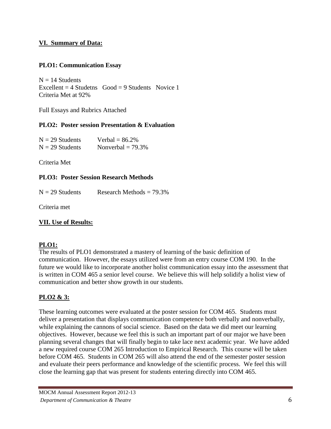# **VI. Summary of Data:**

# **PLO1: Communication Essay**

 $N = 14$  Students Excellent =  $4$  Studetns Good =  $9$  Students Novice 1 Criteria Met at 92%

Full Essays and Rubrics Attached

# **PLO2: Poster session Presentation & Evaluation**

| $N = 29$ Students | Verbal $= 86.2\%$    |
|-------------------|----------------------|
| $N = 29$ Students | Nonverbal $= 79.3\%$ |

Criteria Met

# **PLO3: Poster Session Research Methods**

 $N = 29$  Students Research Methods = 79.3%

Criteria met

# **VII. Use of Results:**

# **PLO1:**

The results of PLO1 demonstrated a mastery of learning of the basic definition of communication. However, the essays utilized were from an entry course COM 190. In the future we would like to incorporate another holist communication essay into the assessment that is written in COM 465 a senior level course. We believe this will help solidify a holist view of communication and better show growth in our students.

# **PLO2 & 3:**

These learning outcomes were evaluated at the poster session for COM 465. Students must deliver a presentation that displays communication competence both verbally and nonverbally, while explaining the cannons of social science. Based on the data we did meet our learning objectives. However, because we feel this is such an important part of our major we have been planning several changes that will finally begin to take lace next academic year. We have added a new required course COM 265 Introduction to Empirical Research. This course will be taken before COM 465. Students in COM 265 will also attend the end of the semester poster session and evaluate their peers performance and knowledge of the scientific process. We feel this will close the learning gap that was present for students entering directly into COM 465.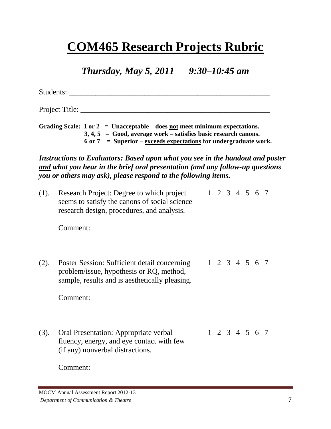# **COM465 Research Projects Rubric**

*Thursday, May 5, 2011 9:30–10:45 am*

Students: \_\_\_\_\_\_\_\_\_\_\_\_\_\_\_\_\_\_\_\_\_\_\_\_\_\_\_\_\_\_\_\_\_\_\_\_\_\_\_\_\_\_\_\_\_\_\_\_\_\_\_\_\_

Project Title:

**Grading Scale: 1 or 2 = Unacceptable – does not meet minimum expectations. 3, 4, 5 = Good, average work – satisfies basic research canons. 6 or 7 = Superior – exceeds expectations for undergraduate work.**

*Instructions to Evaluators: Based upon what you see in the handout and poster and what you hear in the brief oral presentation (and any follow-up questions you or others may ask), please respond to the following items.*

(1). Research Project: Degree to which project 1 2 3 4 5 6 7 seems to satisfy the canons of social science research design, procedures, and analysis.

Comment:

(2). Poster Session: Sufficient detail concerning 1 2 3 4 5 6 7 problem/issue, hypothesis or RQ, method, sample, results and is aesthetically pleasing.

Comment:

(3). Oral Presentation: Appropriate verbal 1 2 3 4 5 6 7 fluency, energy, and eye contact with few (if any) nonverbal distractions.

Comment: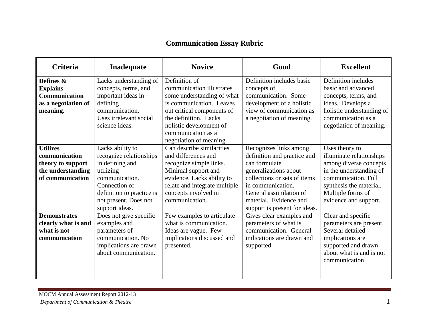# **Communication Essay Rubric**

| Criteria                                                                                       | Inadequate                                                                                                                                                                             | <b>Novice</b>                                                                                                                                                                                                                           | Good                                                                                                                                                                                                                                       | <b>Excellent</b>                                                                                                                                                                                |
|------------------------------------------------------------------------------------------------|----------------------------------------------------------------------------------------------------------------------------------------------------------------------------------------|-----------------------------------------------------------------------------------------------------------------------------------------------------------------------------------------------------------------------------------------|--------------------------------------------------------------------------------------------------------------------------------------------------------------------------------------------------------------------------------------------|-------------------------------------------------------------------------------------------------------------------------------------------------------------------------------------------------|
| Defines &<br><b>Explains</b><br>Communication<br>as a negotiation of<br>meaning.               | Lacks understanding of<br>concepts, terms, and<br>important ideas in<br>defining<br>communication.<br>Uses irrelevant social<br>science ideas.                                         | Definition of<br>communication illustrates<br>some understanding of what<br>is communication. Leaves<br>out critical components of<br>the definition. Lacks<br>holistic development of<br>communication as a<br>negotiation of meaning. | Definition includes basic<br>concepts of<br>communication. Some<br>development of a holistic<br>view of communication as<br>a negotiation of meaning.                                                                                      | Definition includes<br>basic and advanced<br>concepts, terms, and<br>ideas. Develops a<br>holistic understanding of<br>communication as a<br>negotiation of meaning.                            |
| <b>Utilizes</b><br>communication<br>theory to support<br>the understanding<br>of communication | Lacks ability to<br>recognize relationships<br>in defining and<br>utilizing<br>communication.<br>Connection of<br>definition to practice is<br>not present. Does not<br>support ideas. | Can describe similarities<br>and differences and<br>recognize simple links.<br>Minimal support and<br>evidence. Lacks ability to<br>relate and integrate multiple<br>concepts involved in<br>communication.                             | Recognizes links among<br>definition and practice and<br>can formulate<br>generalizations about<br>collections or sets of items<br>in communication.<br>General assimilation of<br>material. Evidence and<br>support is present for ideas. | Uses theory to<br>illuminate relationships<br>among diverse concepts<br>in the understanding of<br>communication. Full<br>synthesis the material.<br>Multiple forms of<br>evidence and support. |
| <b>Demonstrates</b><br>clearly what is and<br>what is not<br>communication                     | Does not give specific<br>examples and<br>parameters of<br>communication. No<br>implications are drawn<br>about communication.                                                         | Few examples to articulate<br>what is communication.<br>Ideas are vague. Few<br>implications discussed and<br>presented.                                                                                                                | Gives clear examples and<br>parameters of what is<br>communication. General<br>imlications are drawn and<br>supported.                                                                                                                     | Clear and specific<br>parameters are present.<br>Several detailed<br>implications are<br>supported and drawn<br>about what is and is not<br>communication.                                      |